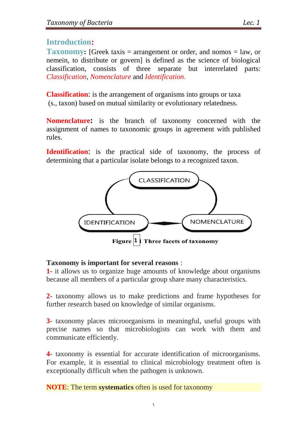## **Introduction:**

**Taxonomy:** [Greek taxis = arrangement or order, and nomos = law, or nemein, to distribute or govern] is defined as the science of biological classification, consists of three separate but interrelated parts: *Classification, Nomenclature* and *Identification*.

**Classification**: is the arrangement of organisms into groups or taxa (s., taxon) based on mutual similarity or evolutionary relatedness.

**Nomenclature:** is the branch of taxonomy concerned with the assignment of names to taxonomic groups in agreement with published rules.

**Identification**: is the practical side of taxonomy, the process of determining that a particular isolate belongs to a recognized taxon.



#### **Taxonomy is important for several reasons** :

**1**- it allows us to organize huge amounts of knowledge about organisms because all members of a particular group share many characteristics.

**2**- taxonomy allows us to make predictions and frame hypotheses for further research based on knowledge of similar organisms.

**3**- taxonomy places microorganisms in meaningful, useful groups with precise names so that microbiologists can work with them and communicate efficiently.

**4**- taxonomy is essential for accurate identification of microorganisms. For example, it is essential to clinical microbiology treatment often is exceptionally difficult when the pathogen is unknown.

**NOTE**: The term **systematics** often is used for taxonomy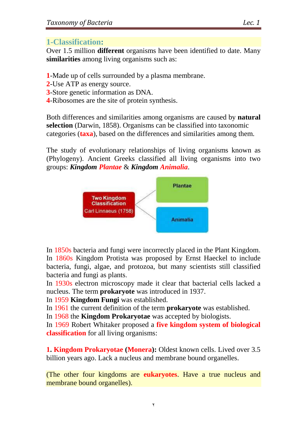## **1-Classification:**

Over 1.5 million **different** organisms have been identified to date. Many **similarities** among living organisms such as:

- **1**-Made up of cells surrounded by a plasma membrane.
- **2**-Use ATP as energy source.
- **3**-Store genetic information as DNA.
- **4**-Ribosomes are the site of protein synthesis.

Both differences and similarities among organisms are caused by **natural selection** (Darwin, 1858). Organisms can be classified into taxonomic categories (**taxa**), based on the differences and similarities among them.

The study of evolutionary relationships of living organisms known as (Phylogeny). Ancient Greeks classified all living organisms into two groups: *Kingdom Plantae* & *Kingdom Animalia*.



In 1850s bacteria and fungi were incorrectly placed in the Plant Kingdom. In 1860s Kingdom Protista was proposed by Ernst Haeckel to include bacteria, fungi, algae, and protozoa, but many scientists still classified bacteria and fungi as plants.

In 1930s electron microscopy made it clear that bacterial cells lacked a nucleus. The term **prokaryote** was introduced in 1937.

In 1959 **Kingdom Fungi** was established.

In 1961 the current definition of the term **prokaryote** was established.

In 1968 the **Kingdom Prokaryotae** was accepted by biologists.

In 1969 Robert Whitaker proposed a **five kingdom system of biological classification** for all living organisms:

**1. Kingdom Prokaryotae (Monera):** Oldest known cells. Lived over 3.5 billion years ago. Lack a nucleus and membrane bound organelles.

(The other four kingdoms are **eukaryotes**. Have a true nucleus and membrane bound organelles).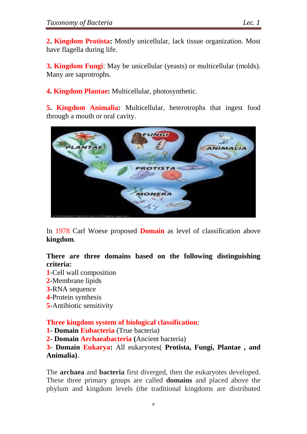**2. Kingdom Protista:** Mostly unicellular, lack tissue organization. Most have flagella during life.

**3. Kingdom Fungi**: May be unicellular (yeasts) or multicellular (molds). Many are saprotrophs.

**4. Kingdom Plantae:** Multicellular, photosynthetic.

**5. Kingdom Animalia:** Multicellular, heterotrophs that ingest food through a mouth or oral cavity.



In 1978 Carl Woese proposed **Domain** as level of classification above **kingdom**.

#### **There are three domains based on the following distinguishing criteria:**

- **1**-Cell wall composition
- **2**-Membrane lipids
- **3**-RNA sequence
- **4**-Protein synthesis
- **5**-Antibiotic sensitivity

**Three kingdom system of biological classification**:

**1- Domain Eubacteria** (True bacteria)

**2- Domain Archaeabacteria (**Ancient bacteria)

**3- Domain Eukarya:** All eukaryotes( **Protista, Fungi, Plantae , and Animalia)**.

The **archaea** and **bacteria** first diverged, then the eukaryotes developed. These three primary groups are called **domains** and placed above the phylum and kingdom levels (the traditional kingdoms are distributed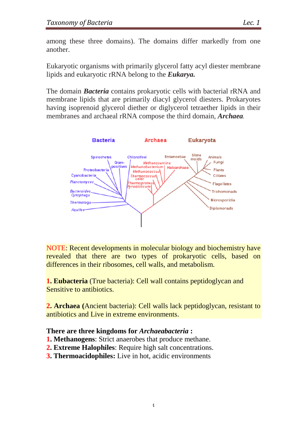among these three domains). The domains differ markedly from one another.

Eukaryotic organisms with primarily glycerol fatty acyl diester membrane lipids and eukaryotic rRNA belong to the *Eukarya.* 

The domain *Bacteria* contains prokaryotic cells with bacterial rRNA and membrane lipids that are primarily diacyl glycerol diesters. Prokaryotes having isoprenoid glycerol diether or diglycerol tetraether lipids in their membranes and archaeal rRNA compose the third domain, *Archaea.*



NOTE: Recent developments in molecular biology and biochemistry have revealed that there are two types of prokaryotic cells, based on differences in their ribosomes, cell walls, and metabolism.

**1. Eubacteria** (True bacteria): Cell wall contains peptidoglycan and Sensitive to antibiotics.

**2. Archaea (**Ancient bacteria): Cell walls lack peptidoglycan, resistant to antibiotics and Live in extreme environments.

#### **There are three kingdoms for** *Archaeabacteria* **:**

- **1. Methanogens**: Strict anaerobes that produce methane.
- **2. Extreme Halophiles**: Require high salt concentrations.
- **3. Thermoacidophiles:** Live in hot, acidic environments.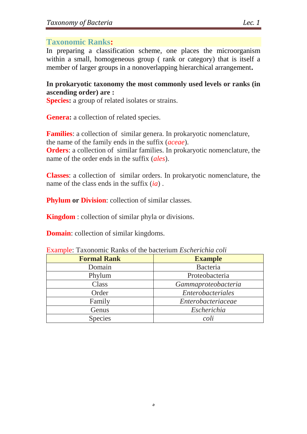### **Taxonomic Ranks:**

In preparing a classification scheme, one places the microorganism within a small, homogeneous group ( rank or category) that is itself a member of larger groups in a nonoverlapping hierarchical arrangement**.**

#### **In prokaryotic taxonomy the most commonly used levels or ranks (in ascending order) are :**

**Species:** a group of related isolates or strains.

Genera: a collection of related species.

**Families**: a collection of similar genera. In prokaryotic nomenclature, the name of the family ends in the suffix (*aceae*).

**Orders**: a collection of similar families. In prokaryotic nomenclature, the name of the order ends in the suffix (*ales*).

**Classes**: a collection of similar orders. In prokaryotic nomenclature, the name of the class ends in the suffix (*ia*) .

**Phylum or Division**: collection of similar classes.

**Kingdom** : collection of similar phyla or divisions.

**Domain**: collection of similar kingdoms.

| <b>Example:</b> Laxonomic Ranks of the bacterium <i>Escherichia coll</i> |                     |
|--------------------------------------------------------------------------|---------------------|
| <b>Formal Rank</b>                                                       | <b>Example</b>      |
| Domain                                                                   | Bacteria            |
| Phylum                                                                   | Proteobacteria      |
| Class                                                                    | Gammaproteobacteria |
| Order                                                                    | Enterobacteriales   |
| Family                                                                   | Enterobacteriaceae  |
| Genus                                                                    | Escherichia         |
| <b>Species</b>                                                           | coli                |

Example: Taxonomic Ranks of the bacterium *Escherichia coli*